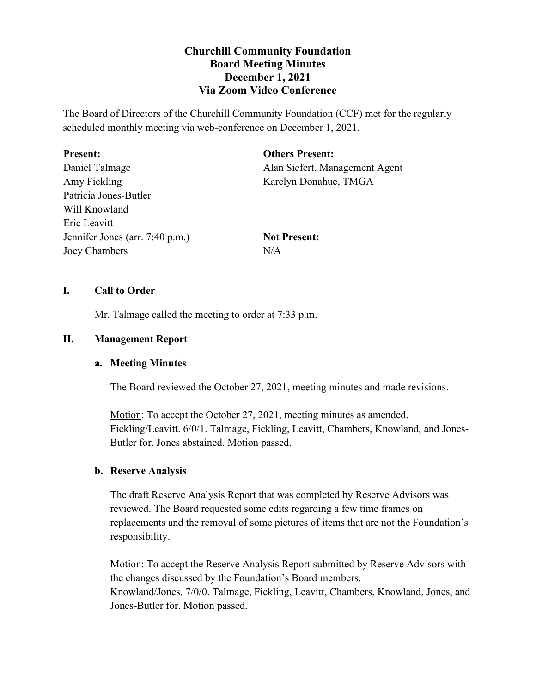# **Churchill Community Foundation Board Meeting Minutes December 1, 2021 Via Zoom Video Conference**

The Board of Directors of the Churchill Community Foundation (CCF) met for the regularly scheduled monthly meeting via web-conference on December 1, 2021.

| <b>Present:</b>                 | <b>Others Present:</b>         |
|---------------------------------|--------------------------------|
| Daniel Talmage                  | Alan Siefert, Management Agent |
| Amy Fickling                    | Karelyn Donahue, TMGA          |
| Patricia Jones-Butler           |                                |
| Will Knowland                   |                                |
| Eric Leavitt                    |                                |
| Jennifer Jones (arr. 7:40 p.m.) | <b>Not Present:</b>            |
| Joey Chambers                   | N/A                            |

# **I. Call to Order**

Mr. Talmage called the meeting to order at 7:33 p.m.

# **II. Management Report**

## **a. Meeting Minutes**

The Board reviewed the October 27, 2021, meeting minutes and made revisions.

Motion: To accept the October 27, 2021, meeting minutes as amended. Fickling/Leavitt. 6/0/1. Talmage, Fickling, Leavitt, Chambers, Knowland, and Jones-Butler for. Jones abstained. Motion passed.

# **b. Reserve Analysis**

The draft Reserve Analysis Report that was completed by Reserve Advisors was reviewed. The Board requested some edits regarding a few time frames on replacements and the removal of some pictures of items that are not the Foundation's responsibility.

Motion: To accept the Reserve Analysis Report submitted by Reserve Advisors with the changes discussed by the Foundation's Board members. Knowland/Jones. 7/0/0. Talmage, Fickling, Leavitt, Chambers, Knowland, Jones, and Jones-Butler for. Motion passed.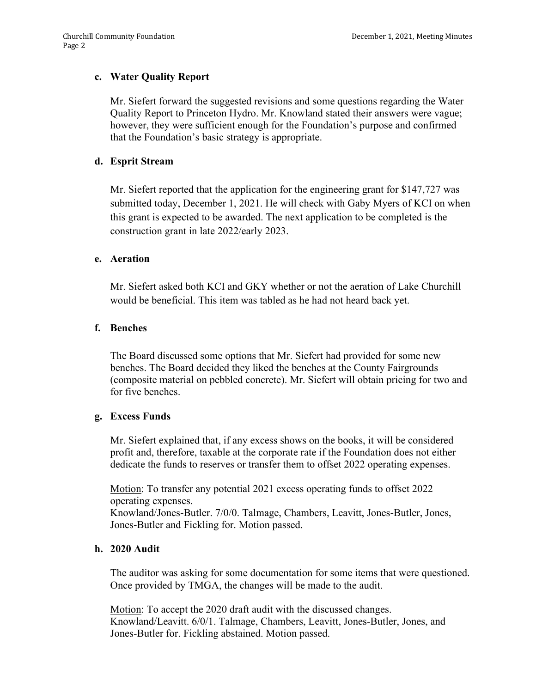# **c. Water Quality Report**

Mr. Siefert forward the suggested revisions and some questions regarding the Water Quality Report to Princeton Hydro. Mr. Knowland stated their answers were vague; however, they were sufficient enough for the Foundation's purpose and confirmed that the Foundation's basic strategy is appropriate.

## **d. Esprit Stream**

Mr. Siefert reported that the application for the engineering grant for \$147,727 was submitted today, December 1, 2021. He will check with Gaby Myers of KCI on when this grant is expected to be awarded. The next application to be completed is the construction grant in late 2022/early 2023.

### **e. Aeration**

Mr. Siefert asked both KCI and GKY whether or not the aeration of Lake Churchill would be beneficial. This item was tabled as he had not heard back yet.

### **f. Benches**

The Board discussed some options that Mr. Siefert had provided for some new benches. The Board decided they liked the benches at the County Fairgrounds (composite material on pebbled concrete). Mr. Siefert will obtain pricing for two and for five benches.

## **g. Excess Funds**

Mr. Siefert explained that, if any excess shows on the books, it will be considered profit and, therefore, taxable at the corporate rate if the Foundation does not either dedicate the funds to reserves or transfer them to offset 2022 operating expenses.

Motion: To transfer any potential 2021 excess operating funds to offset 2022 operating expenses.

Knowland/Jones-Butler. 7/0/0. Talmage, Chambers, Leavitt, Jones-Butler, Jones, Jones-Butler and Fickling for. Motion passed.

## **h. 2020 Audit**

The auditor was asking for some documentation for some items that were questioned. Once provided by TMGA, the changes will be made to the audit.

Motion: To accept the 2020 draft audit with the discussed changes. Knowland/Leavitt. 6/0/1. Talmage, Chambers, Leavitt, Jones-Butler, Jones, and Jones-Butler for. Fickling abstained. Motion passed.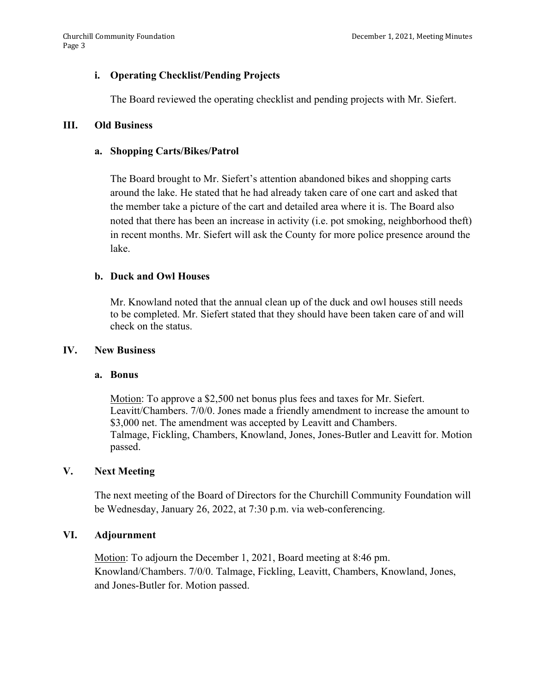# **i. Operating Checklist/Pending Projects**

The Board reviewed the operating checklist and pending projects with Mr. Siefert.

### **III. Old Business**

### **a. Shopping Carts/Bikes/Patrol**

The Board brought to Mr. Siefert's attention abandoned bikes and shopping carts around the lake. He stated that he had already taken care of one cart and asked that the member take a picture of the cart and detailed area where it is. The Board also noted that there has been an increase in activity (i.e. pot smoking, neighborhood theft) in recent months. Mr. Siefert will ask the County for more police presence around the lake.

### **b. Duck and Owl Houses**

Mr. Knowland noted that the annual clean up of the duck and owl houses still needs to be completed. Mr. Siefert stated that they should have been taken care of and will check on the status.

#### **IV. New Business**

#### **a. Bonus**

Motion: To approve a \$2,500 net bonus plus fees and taxes for Mr. Siefert. Leavitt/Chambers. 7/0/0. Jones made a friendly amendment to increase the amount to \$3,000 net. The amendment was accepted by Leavitt and Chambers. Talmage, Fickling, Chambers, Knowland, Jones, Jones-Butler and Leavitt for. Motion passed.

## **V. Next Meeting**

The next meeting of the Board of Directors for the Churchill Community Foundation will be Wednesday, January 26, 2022, at 7:30 p.m. via web-conferencing.

### **VI. Adjournment**

Motion: To adjourn the December 1, 2021, Board meeting at 8:46 pm. Knowland/Chambers. 7/0/0. Talmage, Fickling, Leavitt, Chambers, Knowland, Jones, and Jones-Butler for. Motion passed.